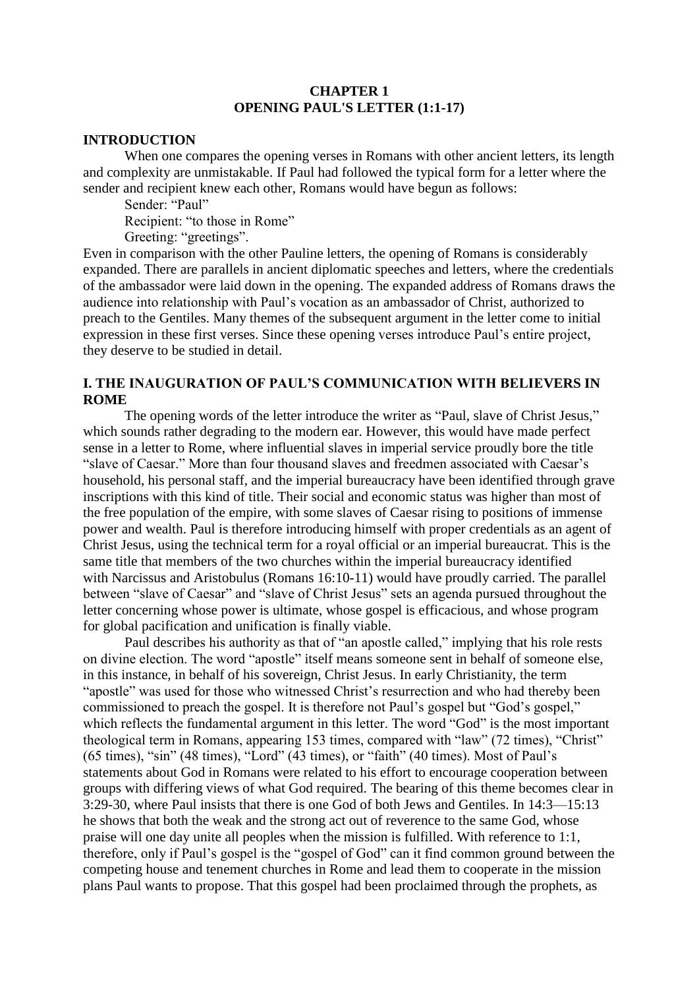# **CHAPTER 1 OPENING PAUL'S LETTER (1:1-17)**

# **INTRODUCTION**

When one compares the opening verses in Romans with other ancient letters, its length and complexity are unmistakable. If Paul had followed the typical form for a letter where the sender and recipient knew each other, Romans would have begun as follows:

Sender: "Paul" Recipient: "to those in Rome"

Greeting: "greetings".

Even in comparison with the other Pauline letters, the opening of Romans is considerably expanded. There are parallels in ancient diplomatic speeches and letters, where the credentials of the ambassador were laid down in the opening. The expanded address of Romans draws the audience into relationship with Paul's vocation as an ambassador of Christ, authorized to preach to the Gentiles. Many themes of the subsequent argument in the letter come to initial expression in these first verses. Since these opening verses introduce Paul's entire project, they deserve to be studied in detail.

# **I. THE INAUGURATION OF PAUL'S COMMUNICATION WITH BELIEVERS IN ROME**

The opening words of the letter introduce the writer as "Paul, slave of Christ Jesus," which sounds rather degrading to the modern ear. However, this would have made perfect sense in a letter to Rome, where influential slaves in imperial service proudly bore the title "slave of Caesar." More than four thousand slaves and freedmen associated with Caesar's household, his personal staff, and the imperial bureaucracy have been identified through grave inscriptions with this kind of title. Their social and economic status was higher than most of the free population of the empire, with some slaves of Caesar rising to positions of immense power and wealth. Paul is therefore introducing himself with proper credentials as an agent of Christ Jesus, using the technical term for a royal official or an imperial bureaucrat. This is the same title that members of the two churches within the imperial bureaucracy identified with Narcissus and Aristobulus (Romans 16:10-11) would have proudly carried. The parallel between "slave of Caesar" and "slave of Christ Jesus" sets an agenda pursued throughout the letter concerning whose power is ultimate, whose gospel is efficacious, and whose program for global pacification and unification is finally viable.

Paul describes his authority as that of "an apostle called," implying that his role rests on divine election. The word "apostle" itself means someone sent in behalf of someone else, in this instance, in behalf of his sovereign, Christ Jesus. In early Christianity, the term "apostle" was used for those who witnessed Christ's resurrection and who had thereby been commissioned to preach the gospel. It is therefore not Paul's gospel but "God's gospel," which reflects the fundamental argument in this letter. The word "God" is the most important theological term in Romans, appearing 153 times, compared with "law" (72 times), "Christ" (65 times), "sin" (48 times), "Lord" (43 times), or "faith" (40 times). Most of Paul's statements about God in Romans were related to his effort to encourage cooperation between groups with differing views of what God required. The bearing of this theme becomes clear in 3:29-30, where Paul insists that there is one God of both Jews and Gentiles. In 14:3—15:13 he shows that both the weak and the strong act out of reverence to the same God, whose praise will one day unite all peoples when the mission is fulfilled. With reference to 1:1, therefore, only if Paul's gospel is the "gospel of God" can it find common ground between the competing house and tenement churches in Rome and lead them to cooperate in the mission plans Paul wants to propose. That this gospel had been proclaimed through the prophets, as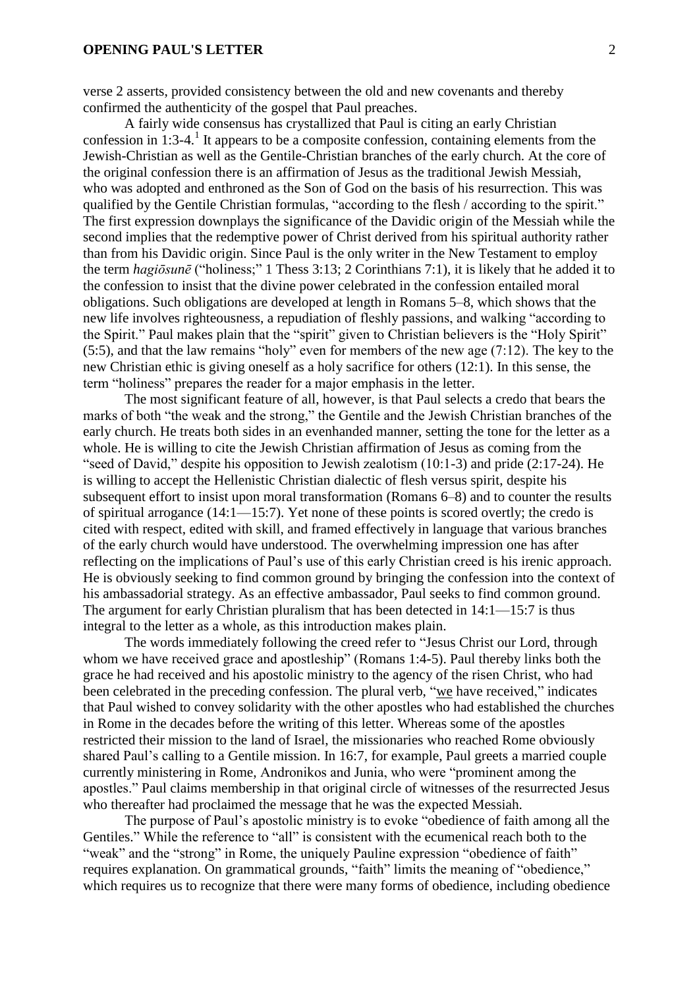verse 2 asserts, provided consistency between the old and new covenants and thereby confirmed the authenticity of the gospel that Paul preaches.

A fairly wide consensus has crystallized that Paul is citing an early Christian confession in  $1:3-4$ .<sup>1</sup> It appears to be a composite confession, containing elements from the Jewish-Christian as well as the Gentile-Christian branches of the early church. At the core of the original confession there is an affirmation of Jesus as the traditional Jewish Messiah, who was adopted and enthroned as the Son of God on the basis of his resurrection. This was qualified by the Gentile Christian formulas, "according to the flesh / according to the spirit." The first expression downplays the significance of the Davidic origin of the Messiah while the second implies that the redemptive power of Christ derived from his spiritual authority rather than from his Davidic origin. Since Paul is the only writer in the New Testament to employ the term *hagiōsunē* ("holiness;" 1 Thess 3:13; 2 Corinthians 7:1), it is likely that he added it to the confession to insist that the divine power celebrated in the confession entailed moral obligations. Such obligations are developed at length in Romans 5–8, which shows that the new life involves righteousness, a repudiation of fleshly passions, and walking "according to the Spirit." Paul makes plain that the "spirit" given to Christian believers is the "Holy Spirit" (5:5), and that the law remains "holy" even for members of the new age (7:12). The key to the new Christian ethic is giving oneself as a holy sacrifice for others (12:1). In this sense, the term "holiness" prepares the reader for a major emphasis in the letter.

The most significant feature of all, however, is that Paul selects a credo that bears the marks of both "the weak and the strong," the Gentile and the Jewish Christian branches of the early church. He treats both sides in an evenhanded manner, setting the tone for the letter as a whole. He is willing to cite the Jewish Christian affirmation of Jesus as coming from the "seed of David," despite his opposition to Jewish zealotism (10:1-3) and pride (2:17-24). He is willing to accept the Hellenistic Christian dialectic of flesh versus spirit, despite his subsequent effort to insist upon moral transformation (Romans 6–8) and to counter the results of spiritual arrogance (14:1—15:7). Yet none of these points is scored overtly; the credo is cited with respect, edited with skill, and framed effectively in language that various branches of the early church would have understood. The overwhelming impression one has after reflecting on the implications of Paul's use of this early Christian creed is his irenic approach. He is obviously seeking to find common ground by bringing the confession into the context of his ambassadorial strategy. As an effective ambassador, Paul seeks to find common ground. The argument for early Christian pluralism that has been detected in 14:1—15:7 is thus integral to the letter as a whole, as this introduction makes plain.

The words immediately following the creed refer to "Jesus Christ our Lord, through whom we have received grace and apostleship" (Romans 1:4-5). Paul thereby links both the grace he had received and his apostolic ministry to the agency of the risen Christ, who had been celebrated in the preceding confession. The plural verb, "we have received," indicates that Paul wished to convey solidarity with the other apostles who had established the churches in Rome in the decades before the writing of this letter. Whereas some of the apostles restricted their mission to the land of Israel, the missionaries who reached Rome obviously shared Paul's calling to a Gentile mission. In 16:7, for example, Paul greets a married couple currently ministering in Rome, Andronikos and Junia, who were "prominent among the apostles." Paul claims membership in that original circle of witnesses of the resurrected Jesus who thereafter had proclaimed the message that he was the expected Messiah.

The purpose of Paul's apostolic ministry is to evoke "obedience of faith among all the Gentiles." While the reference to "all" is consistent with the ecumenical reach both to the "weak" and the "strong" in Rome, the uniquely Pauline expression "obedience of faith" requires explanation. On grammatical grounds, "faith" limits the meaning of "obedience," which requires us to recognize that there were many forms of obedience, including obedience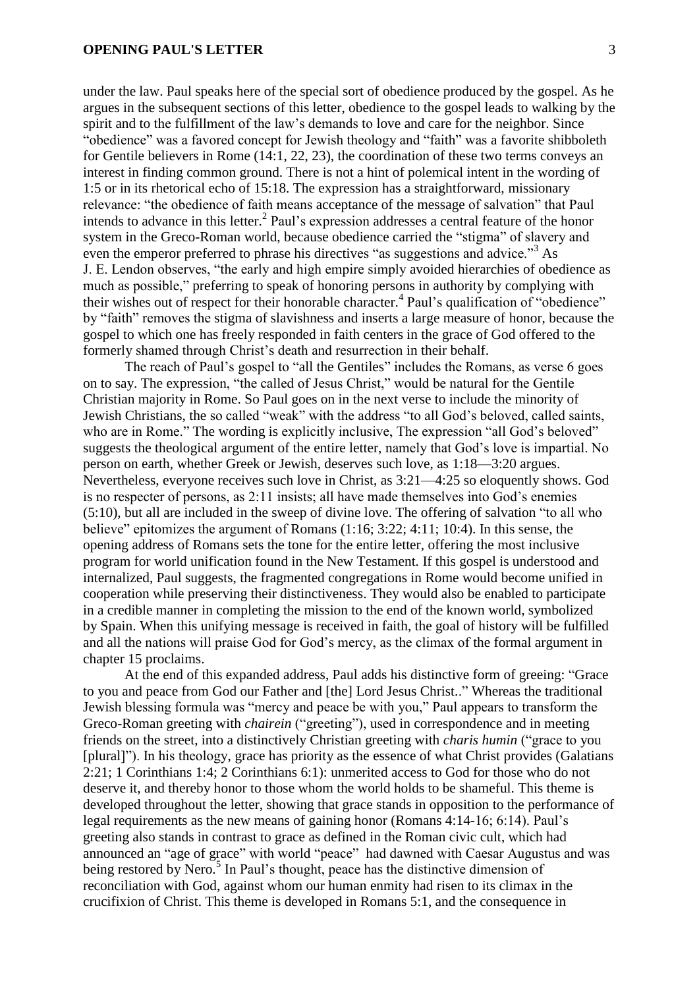under the law. Paul speaks here of the special sort of obedience produced by the gospel. As he argues in the subsequent sections of this letter, obedience to the gospel leads to walking by the spirit and to the fulfillment of the law's demands to love and care for the neighbor. Since "obedience" was a favored concept for Jewish theology and "faith" was a favorite shibboleth for Gentile believers in Rome (14:1, 22, 23), the coordination of these two terms conveys an interest in finding common ground. There is not a hint of polemical intent in the wording of 1:5 or in its rhetorical echo of 15:18. The expression has a straightforward, missionary relevance: "the obedience of faith means acceptance of the message of salvation" that Paul intends to advance in this letter.<sup>2</sup> Paul's expression addresses a central feature of the honor system in the Greco-Roman world, because obedience carried the "stigma" of slavery and even the emperor preferred to phrase his directives "as suggestions and advice."<sup>3</sup> As J. E. Lendon observes, "the early and high empire simply avoided hierarchies of obedience as much as possible," preferring to speak of honoring persons in authority by complying with their wishes out of respect for their honorable character.<sup>4</sup> Paul's qualification of "obedience" by "faith" removes the stigma of slavishness and inserts a large measure of honor, because the gospel to which one has freely responded in faith centers in the grace of God offered to the formerly shamed through Christ's death and resurrection in their behalf.

The reach of Paul's gospel to "all the Gentiles" includes the Romans, as verse 6 goes on to say. The expression, "the called of Jesus Christ," would be natural for the Gentile Christian majority in Rome. So Paul goes on in the next verse to include the minority of Jewish Christians, the so called "weak" with the address "to all God's beloved, called saints, who are in Rome." The wording is explicitly inclusive. The expression "all God's beloved" suggests the theological argument of the entire letter, namely that God's love is impartial. No person on earth, whether Greek or Jewish, deserves such love, as 1:18—3:20 argues. Nevertheless, everyone receives such love in Christ, as 3:21—4:25 so eloquently shows. God is no respecter of persons, as 2:11 insists; all have made themselves into God's enemies (5:10), but all are included in the sweep of divine love. The offering of salvation "to all who believe" epitomizes the argument of Romans (1:16; 3:22; 4:11; 10:4). In this sense, the opening address of Romans sets the tone for the entire letter, offering the most inclusive program for world unification found in the New Testament. If this gospel is understood and internalized, Paul suggests, the fragmented congregations in Rome would become unified in cooperation while preserving their distinctiveness. They would also be enabled to participate in a credible manner in completing the mission to the end of the known world, symbolized by Spain. When this unifying message is received in faith, the goal of history will be fulfilled and all the nations will praise God for God's mercy, as the climax of the formal argument in chapter 15 proclaims.

At the end of this expanded address, Paul adds his distinctive form of greeing: "Grace to you and peace from God our Father and [the] Lord Jesus Christ.." Whereas the traditional Jewish blessing formula was "mercy and peace be with you," Paul appears to transform the Greco-Roman greeting with *chairein* ("greeting"), used in correspondence and in meeting friends on the street, into a distinctively Christian greeting with *charis humin* ("grace to you [plural]"). In his theology, grace has priority as the essence of what Christ provides (Galatians 2:21; 1 Corinthians 1:4; 2 Corinthians 6:1): unmerited access to God for those who do not deserve it, and thereby honor to those whom the world holds to be shameful. This theme is developed throughout the letter, showing that grace stands in opposition to the performance of legal requirements as the new means of gaining honor (Romans 4:14-16; 6:14). Paul's greeting also stands in contrast to grace as defined in the Roman civic cult, which had announced an "age of grace" with world "peace" had dawned with Caesar Augustus and was being restored by Nero.<sup>5</sup> In Paul's thought, peace has the distinctive dimension of reconciliation with God, against whom our human enmity had risen to its climax in the crucifixion of Christ. This theme is developed in Romans 5:1, and the consequence in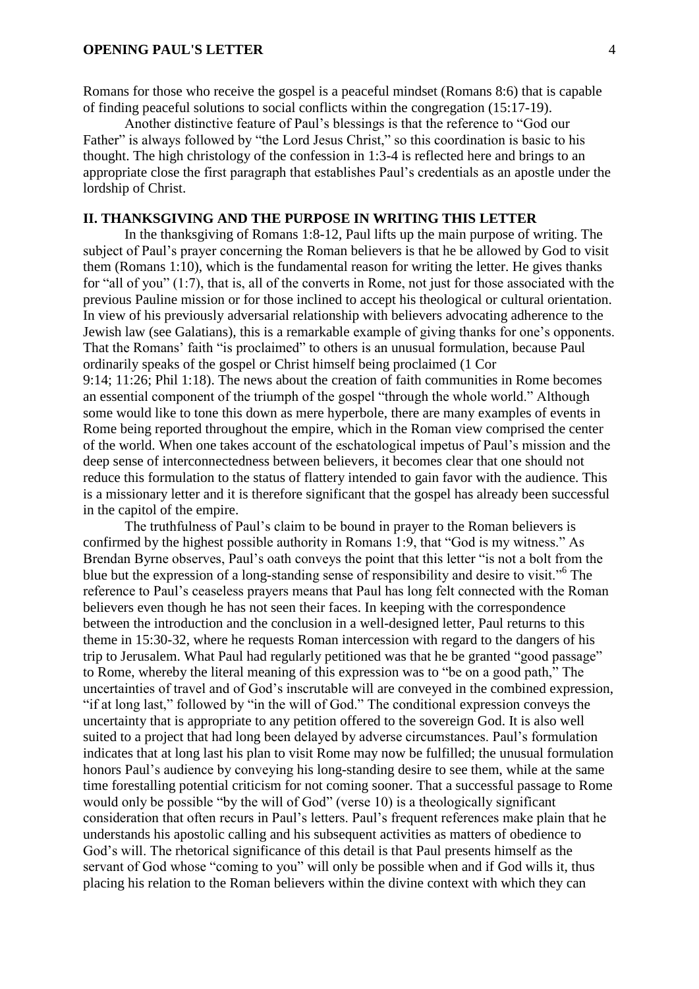Romans for those who receive the gospel is a peaceful mindset (Romans 8:6) that is capable of finding peaceful solutions to social conflicts within the congregation (15:17-19).

Another distinctive feature of Paul's blessings is that the reference to "God our Father" is always followed by "the Lord Jesus Christ," so this coordination is basic to his thought. The high christology of the confession in 1:3-4 is reflected here and brings to an appropriate close the first paragraph that establishes Paul's credentials as an apostle under the lordship of Christ.

# **II. THANKSGIVING AND THE PURPOSE IN WRITING THIS LETTER**

In the thanksgiving of Romans 1:8-12, Paul lifts up the main purpose of writing. The subject of Paul's prayer concerning the Roman believers is that he be allowed by God to visit them (Romans 1:10), which is the fundamental reason for writing the letter. He gives thanks for "all of you" (1:7), that is, all of the converts in Rome, not just for those associated with the previous Pauline mission or for those inclined to accept his theological or cultural orientation. In view of his previously adversarial relationship with believers advocating adherence to the Jewish law (see Galatians), this is a remarkable example of giving thanks for one's opponents. That the Romans' faith "is proclaimed" to others is an unusual formulation, because Paul ordinarily speaks of the gospel or Christ himself being proclaimed (1 Cor 9:14; 11:26; Phil 1:18). The news about the creation of faith communities in Rome becomes an essential component of the triumph of the gospel "through the whole world." Although some would like to tone this down as mere hyperbole, there are many examples of events in Rome being reported throughout the empire, which in the Roman view comprised the center of the world. When one takes account of the eschatological impetus of Paul's mission and the deep sense of interconnectedness between believers, it becomes clear that one should not reduce this formulation to the status of flattery intended to gain favor with the audience. This is a missionary letter and it is therefore significant that the gospel has already been successful in the capitol of the empire.

The truthfulness of Paul's claim to be bound in prayer to the Roman believers is confirmed by the highest possible authority in Romans 1:9, that "God is my witness." As Brendan Byrne observes, Paul's oath conveys the point that this letter "is not a bolt from the blue but the expression of a long-standing sense of responsibility and desire to visit."<sup>6</sup> The reference to Paul's ceaseless prayers means that Paul has long felt connected with the Roman believers even though he has not seen their faces. In keeping with the correspondence between the introduction and the conclusion in a well-designed letter, Paul returns to this theme in 15:30-32, where he requests Roman intercession with regard to the dangers of his trip to Jerusalem. What Paul had regularly petitioned was that he be granted "good passage" to Rome, whereby the literal meaning of this expression was to "be on a good path," The uncertainties of travel and of God's inscrutable will are conveyed in the combined expression, "if at long last," followed by "in the will of God." The conditional expression conveys the uncertainty that is appropriate to any petition offered to the sovereign God. It is also well suited to a project that had long been delayed by adverse circumstances. Paul's formulation indicates that at long last his plan to visit Rome may now be fulfilled; the unusual formulation honors Paul's audience by conveying his long-standing desire to see them, while at the same time forestalling potential criticism for not coming sooner. That a successful passage to Rome would only be possible "by the will of God" (verse 10) is a theologically significant consideration that often recurs in Paul's letters. Paul's frequent references make plain that he understands his apostolic calling and his subsequent activities as matters of obedience to God's will. The rhetorical significance of this detail is that Paul presents himself as the servant of God whose "coming to you" will only be possible when and if God wills it, thus placing his relation to the Roman believers within the divine context with which they can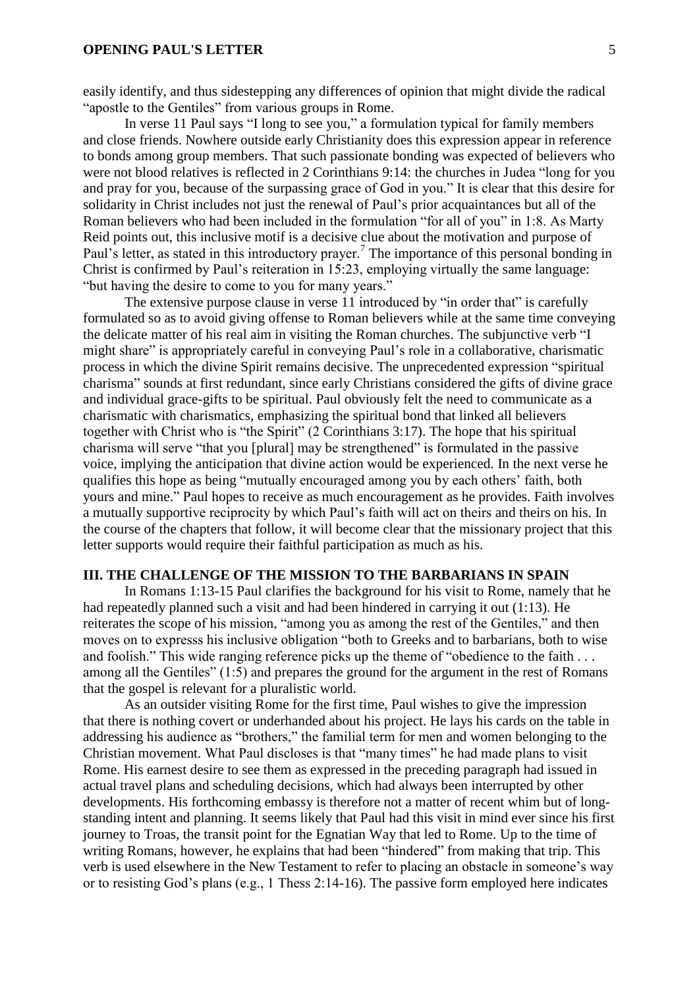easily identify, and thus sidestepping any differences of opinion that might divide the radical "apostle to the Gentiles" from various groups in Rome.

In verse 11 Paul says "I long to see you," a formulation typical for family members and close friends. Nowhere outside early Christianity does this expression appear in reference to bonds among group members. That such passionate bonding was expected of believers who were not blood relatives is reflected in 2 Corinthians 9:14: the churches in Judea "long for you and pray for you, because of the surpassing grace of God in you." It is clear that this desire for solidarity in Christ includes not just the renewal of Paul's prior acquaintances but all of the Roman believers who had been included in the formulation "for all of you" in 1:8. As Marty Reid points out, this inclusive motif is a decisive clue about the motivation and purpose of Paul's letter, as stated in this introductory prayer.<sup>7</sup> The importance of this personal bonding in Christ is confirmed by Paul's reiteration in 15:23, employing virtually the same language: "but having the desire to come to you for many years."

The extensive purpose clause in verse 11 introduced by "in order that" is carefully formulated so as to avoid giving offense to Roman believers while at the same time conveying the delicate matter of his real aim in visiting the Roman churches. The subjunctive verb "I might share" is appropriately careful in conveying Paul's role in a collaborative, charismatic process in which the divine Spirit remains decisive. The unprecedented expression "spiritual charisma" sounds at first redundant, since early Christians considered the gifts of divine grace and individual grace-gifts to be spiritual. Paul obviously felt the need to communicate as a charismatic with charismatics, emphasizing the spiritual bond that linked all believers together with Christ who is "the Spirit" (2 Corinthians 3:17). The hope that his spiritual charisma will serve "that you [plural] may be strengthened" is formulated in the passive voice, implying the anticipation that divine action would be experienced. In the next verse he qualifies this hope as being "mutually encouraged among you by each others' faith, both yours and mine." Paul hopes to receive as much encouragement as he provides. Faith involves a mutually supportive reciprocity by which Paul's faith will act on theirs and theirs on his. In the course of the chapters that follow, it will become clear that the missionary project that this letter supports would require their faithful participation as much as his.

# **III. THE CHALLENGE OF THE MISSION TO THE BARBARIANS IN SPAIN**

In Romans 1:13-15 Paul clarifies the background for his visit to Rome, namely that he had repeatedly planned such a visit and had been hindered in carrying it out (1:13). He reiterates the scope of his mission, "among you as among the rest of the Gentiles," and then moves on to expresss his inclusive obligation "both to Greeks and to barbarians, both to wise and foolish." This wide ranging reference picks up the theme of "obedience to the faith . . . among all the Gentiles" (1:5) and prepares the ground for the argument in the rest of Romans that the gospel is relevant for a pluralistic world.

As an outsider visiting Rome for the first time, Paul wishes to give the impression that there is nothing covert or underhanded about his project. He lays his cards on the table in addressing his audience as "brothers," the familial term for men and women belonging to the Christian movement. What Paul discloses is that "many times" he had made plans to visit Rome. His earnest desire to see them as expressed in the preceding paragraph had issued in actual travel plans and scheduling decisions, which had always been interrupted by other developments. His forthcoming embassy is therefore not a matter of recent whim but of longstanding intent and planning. It seems likely that Paul had this visit in mind ever since his first journey to Troas, the transit point for the Egnatian Way that led to Rome. Up to the time of writing Romans, however, he explains that had been "hindered" from making that trip. This verb is used elsewhere in the New Testament to refer to placing an obstacle in someone's way or to resisting God's plans (e.g., 1 Thess 2:14-16). The passive form employed here indicates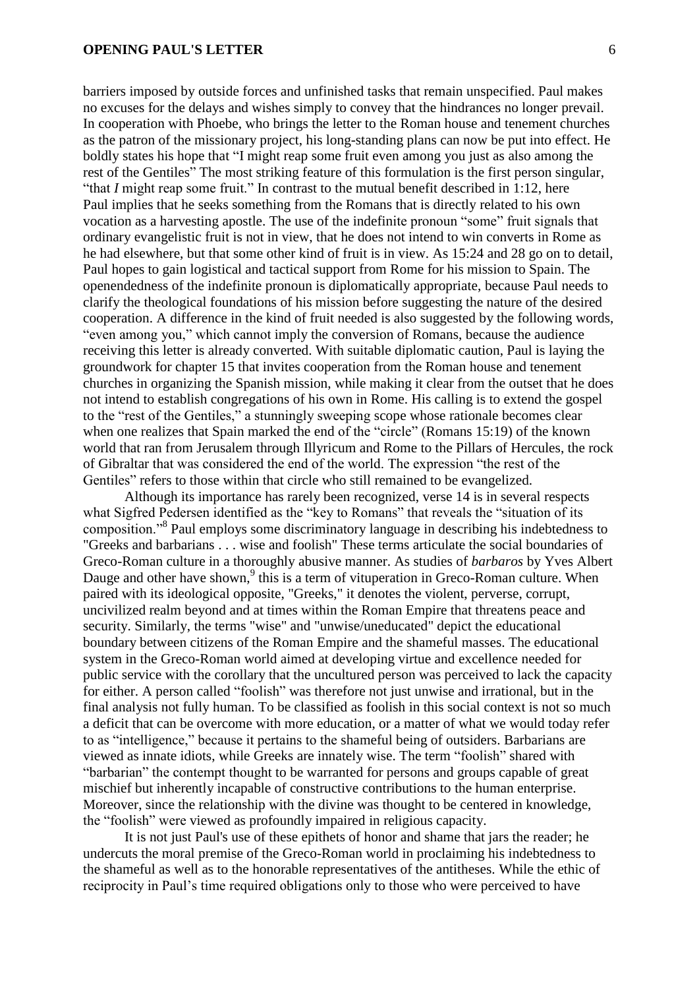barriers imposed by outside forces and unfinished tasks that remain unspecified. Paul makes no excuses for the delays and wishes simply to convey that the hindrances no longer prevail. In cooperation with Phoebe, who brings the letter to the Roman house and tenement churches as the patron of the missionary project, his long-standing plans can now be put into effect. He boldly states his hope that "I might reap some fruit even among you just as also among the rest of the Gentiles" The most striking feature of this formulation is the first person singular, "that *I* might reap some fruit." In contrast to the mutual benefit described in 1:12, here Paul implies that he seeks something from the Romans that is directly related to his own vocation as a harvesting apostle. The use of the indefinite pronoun "some" fruit signals that ordinary evangelistic fruit is not in view, that he does not intend to win converts in Rome as he had elsewhere, but that some other kind of fruit is in view. As 15:24 and 28 go on to detail, Paul hopes to gain logistical and tactical support from Rome for his mission to Spain. The openendedness of the indefinite pronoun is diplomatically appropriate, because Paul needs to clarify the theological foundations of his mission before suggesting the nature of the desired cooperation. A difference in the kind of fruit needed is also suggested by the following words, "even among you," which cannot imply the conversion of Romans, because the audience receiving this letter is already converted. With suitable diplomatic caution, Paul is laying the groundwork for chapter 15 that invites cooperation from the Roman house and tenement churches in organizing the Spanish mission, while making it clear from the outset that he does not intend to establish congregations of his own in Rome. His calling is to extend the gospel to the "rest of the Gentiles," a stunningly sweeping scope whose rationale becomes clear when one realizes that Spain marked the end of the "circle" (Romans 15:19) of the known world that ran from Jerusalem through Illyricum and Rome to the Pillars of Hercules, the rock of Gibraltar that was considered the end of the world. The expression "the rest of the Gentiles" refers to those within that circle who still remained to be evangelized.

Although its importance has rarely been recognized, verse 14 is in several respects what Sigfred Pedersen identified as the "key to Romans" that reveals the "situation of its composition."<sup>8</sup> Paul employs some discriminatory language in describing his indebtedness to "Greeks and barbarians . . . wise and foolish" These terms articulate the social boundaries of Greco-Roman culture in a thoroughly abusive manner. As studies of *barbaros* by Yves Albert Dauge and other have shown,<sup>9</sup> this is a term of vituperation in Greco-Roman culture. When paired with its ideological opposite, "Greeks," it denotes the violent, perverse, corrupt, uncivilized realm beyond and at times within the Roman Empire that threatens peace and security. Similarly, the terms "wise" and "unwise/uneducated" depict the educational boundary between citizens of the Roman Empire and the shameful masses. The educational system in the Greco-Roman world aimed at developing virtue and excellence needed for public service with the corollary that the uncultured person was perceived to lack the capacity for either. A person called "foolish" was therefore not just unwise and irrational, but in the final analysis not fully human. To be classified as foolish in this social context is not so much a deficit that can be overcome with more education, or a matter of what we would today refer to as "intelligence," because it pertains to the shameful being of outsiders. Barbarians are viewed as innate idiots, while Greeks are innately wise. The term "foolish" shared with "barbarian" the contempt thought to be warranted for persons and groups capable of great mischief but inherently incapable of constructive contributions to the human enterprise. Moreover, since the relationship with the divine was thought to be centered in knowledge, the "foolish" were viewed as profoundly impaired in religious capacity.

It is not just Paul's use of these epithets of honor and shame that jars the reader; he undercuts the moral premise of the Greco-Roman world in proclaiming his indebtedness to the shameful as well as to the honorable representatives of the antitheses. While the ethic of reciprocity in Paul's time required obligations only to those who were perceived to have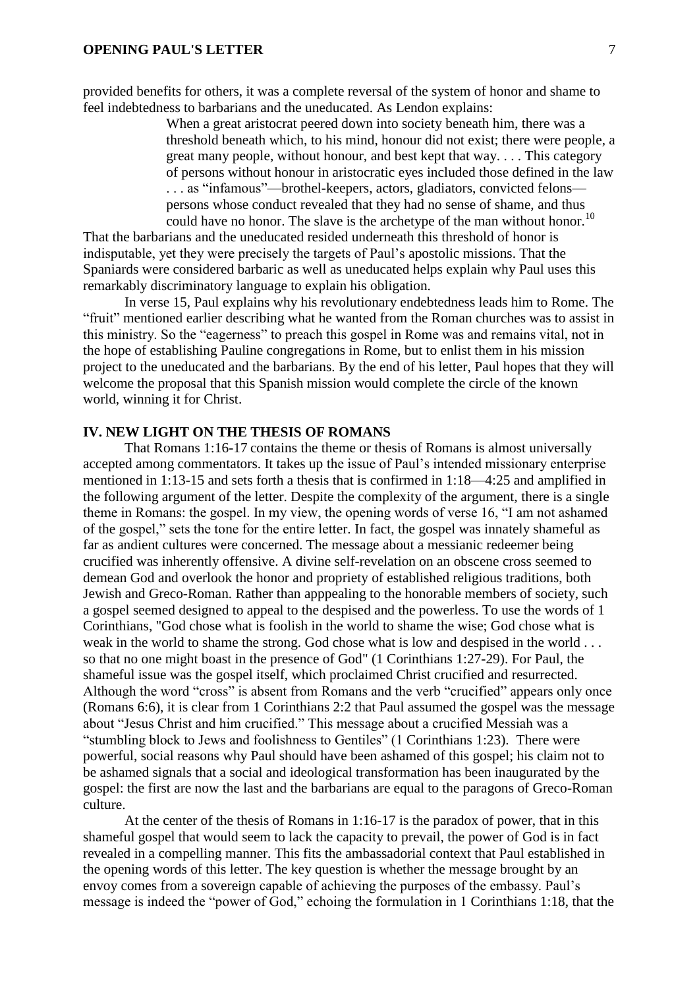provided benefits for others, it was a complete reversal of the system of honor and shame to feel indebtedness to barbarians and the uneducated. As Lendon explains:

> When a great aristocrat peered down into society beneath him, there was a threshold beneath which, to his mind, honour did not exist; there were people, a great many people, without honour, and best kept that way. . . . This category of persons without honour in aristocratic eyes included those defined in the law . . . as "infamous"—brothel-keepers, actors, gladiators, convicted felons persons whose conduct revealed that they had no sense of shame, and thus could have no honor. The slave is the archetype of the man without honor.<sup>10</sup>

That the barbarians and the uneducated resided underneath this threshold of honor is indisputable, yet they were precisely the targets of Paul's apostolic missions. That the Spaniards were considered barbaric as well as uneducated helps explain why Paul uses this remarkably discriminatory language to explain his obligation.

In verse 15, Paul explains why his revolutionary endebtedness leads him to Rome. The "fruit" mentioned earlier describing what he wanted from the Roman churches was to assist in this ministry. So the "eagerness" to preach this gospel in Rome was and remains vital, not in the hope of establishing Pauline congregations in Rome, but to enlist them in his mission project to the uneducated and the barbarians. By the end of his letter, Paul hopes that they will welcome the proposal that this Spanish mission would complete the circle of the known world, winning it for Christ.

## **IV. NEW LIGHT ON THE THESIS OF ROMANS**

That Romans 1:16-17 contains the theme or thesis of Romans is almost universally accepted among commentators. It takes up the issue of Paul's intended missionary enterprise mentioned in 1:13-15 and sets forth a thesis that is confirmed in 1:18—4:25 and amplified in the following argument of the letter. Despite the complexity of the argument, there is a single theme in Romans: the gospel. In my view, the opening words of verse 16, "I am not ashamed of the gospel," sets the tone for the entire letter. In fact, the gospel was innately shameful as far as andient cultures were concerned. The message about a messianic redeemer being crucified was inherently offensive. A divine self-revelation on an obscene cross seemed to demean God and overlook the honor and propriety of established religious traditions, both Jewish and Greco-Roman. Rather than apppealing to the honorable members of society, such a gospel seemed designed to appeal to the despised and the powerless. To use the words of 1 Corinthians, "God chose what is foolish in the world to shame the wise; God chose what is weak in the world to shame the strong. God chose what is low and despised in the world . . . so that no one might boast in the presence of God" (1 Corinthians 1:27-29). For Paul, the shameful issue was the gospel itself, which proclaimed Christ crucified and resurrected. Although the word "cross" is absent from Romans and the verb "crucified" appears only once (Romans 6:6), it is clear from 1 Corinthians 2:2 that Paul assumed the gospel was the message about "Jesus Christ and him crucified." This message about a crucified Messiah was a "stumbling block to Jews and foolishness to Gentiles" (1 Corinthians 1:23). There were powerful, social reasons why Paul should have been ashamed of this gospel; his claim not to be ashamed signals that a social and ideological transformation has been inaugurated by the gospel: the first are now the last and the barbarians are equal to the paragons of Greco-Roman culture.

At the center of the thesis of Romans in 1:16-17 is the paradox of power, that in this shameful gospel that would seem to lack the capacity to prevail, the power of God is in fact revealed in a compelling manner. This fits the ambassadorial context that Paul established in the opening words of this letter. The key question is whether the message brought by an envoy comes from a sovereign capable of achieving the purposes of the embassy. Paul's message is indeed the "power of God," echoing the formulation in 1 Corinthians 1:18, that the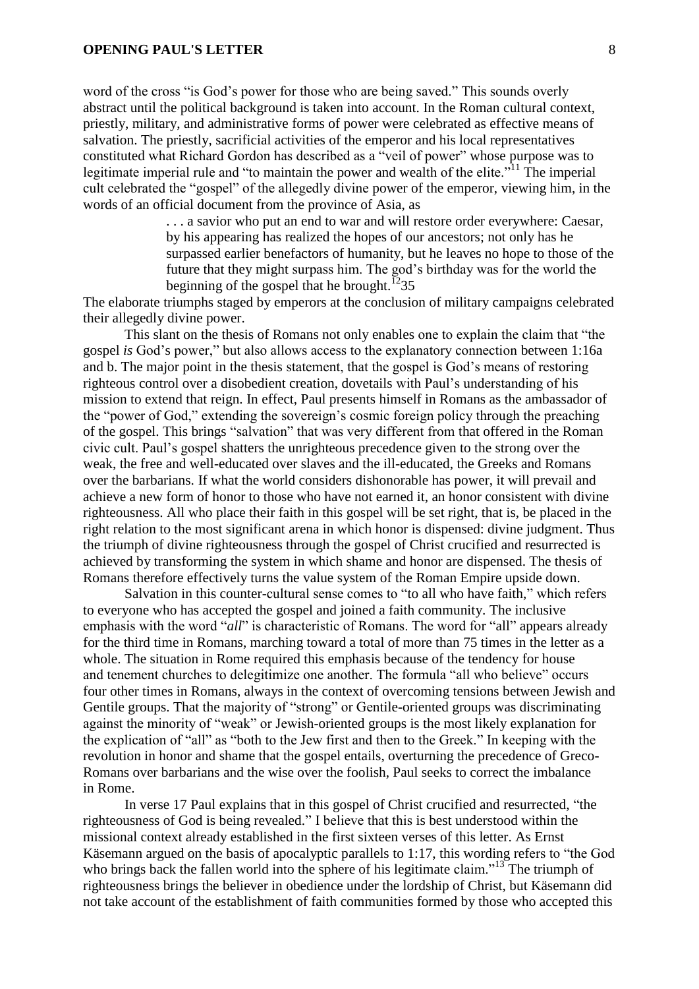word of the cross "is God's power for those who are being saved." This sounds overly abstract until the political background is taken into account. In the Roman cultural context, priestly, military, and administrative forms of power were celebrated as effective means of salvation. The priestly, sacrificial activities of the emperor and his local representatives constituted what Richard Gordon has described as a "veil of power" whose purpose was to legitimate imperial rule and "to maintain the power and wealth of the elite."<sup>11</sup> The imperial cult celebrated the "gospel" of the allegedly divine power of the emperor, viewing him, in the words of an official document from the province of Asia, as

> . . . a savior who put an end to war and will restore order everywhere: Caesar, by his appearing has realized the hopes of our ancestors; not only has he surpassed earlier benefactors of humanity, but he leaves no hope to those of the future that they might surpass him. The god's birthday was for the world the beginning of the gospel that he brought.<sup>12</sup>35

The elaborate triumphs staged by emperors at the conclusion of military campaigns celebrated their allegedly divine power.

This slant on the thesis of Romans not only enables one to explain the claim that "the gospel *is* God's power," but also allows access to the explanatory connection between 1:16a and b. The major point in the thesis statement, that the gospel is God's means of restoring righteous control over a disobedient creation, dovetails with Paul's understanding of his mission to extend that reign. In effect, Paul presents himself in Romans as the ambassador of the "power of God," extending the sovereign's cosmic foreign policy through the preaching of the gospel. This brings "salvation" that was very different from that offered in the Roman civic cult. Paul's gospel shatters the unrighteous precedence given to the strong over the weak, the free and well-educated over slaves and the ill-educated, the Greeks and Romans over the barbarians. If what the world considers dishonorable has power, it will prevail and achieve a new form of honor to those who have not earned it, an honor consistent with divine righteousness. All who place their faith in this gospel will be set right, that is, be placed in the right relation to the most significant arena in which honor is dispensed: divine judgment. Thus the triumph of divine righteousness through the gospel of Christ crucified and resurrected is achieved by transforming the system in which shame and honor are dispensed. The thesis of Romans therefore effectively turns the value system of the Roman Empire upside down.

Salvation in this counter-cultural sense comes to "to all who have faith," which refers to everyone who has accepted the gospel and joined a faith community. The inclusive emphasis with the word "*all*" is characteristic of Romans. The word for "all" appears already for the third time in Romans, marching toward a total of more than 75 times in the letter as a whole. The situation in Rome required this emphasis because of the tendency for house and tenement churches to delegitimize one another. The formula "all who believe" occurs four other times in Romans, always in the context of overcoming tensions between Jewish and Gentile groups. That the majority of "strong" or Gentile-oriented groups was discriminating against the minority of "weak" or Jewish-oriented groups is the most likely explanation for the explication of "all" as "both to the Jew first and then to the Greek." In keeping with the revolution in honor and shame that the gospel entails, overturning the precedence of Greco-Romans over barbarians and the wise over the foolish, Paul seeks to correct the imbalance in Rome.

In verse 17 Paul explains that in this gospel of Christ crucified and resurrected, "the righteousness of God is being revealed." I believe that this is best understood within the missional context already established in the first sixteen verses of this letter. As Ernst Käsemann argued on the basis of apocalyptic parallels to 1:17, this wording refers to "the God who brings back the fallen world into the sphere of his legitimate claim."<sup>13</sup> The triumph of righteousness brings the believer in obedience under the lordship of Christ, but Käsemann did not take account of the establishment of faith communities formed by those who accepted this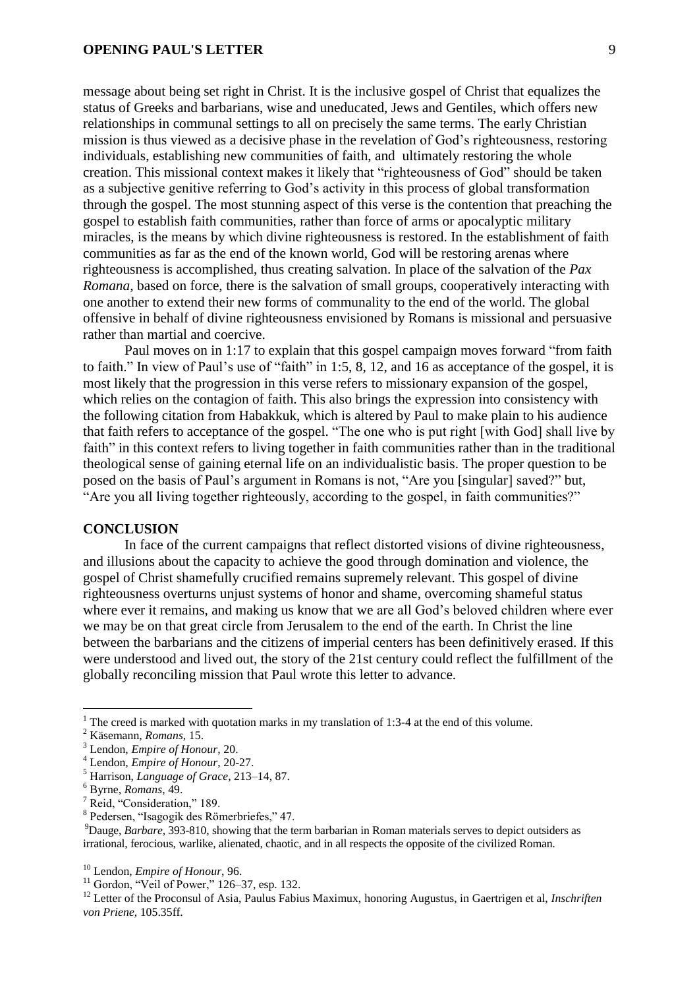message about being set right in Christ. It is the inclusive gospel of Christ that equalizes the status of Greeks and barbarians, wise and uneducated, Jews and Gentiles, which offers new relationships in communal settings to all on precisely the same terms. The early Christian mission is thus viewed as a decisive phase in the revelation of God's righteousness, restoring individuals, establishing new communities of faith, and ultimately restoring the whole creation. This missional context makes it likely that "righteousness of God" should be taken as a subjective genitive referring to God's activity in this process of global transformation through the gospel. The most stunning aspect of this verse is the contention that preaching the gospel to establish faith communities, rather than force of arms or apocalyptic military miracles, is the means by which divine righteousness is restored. In the establishment of faith communities as far as the end of the known world, God will be restoring arenas where righteousness is accomplished, thus creating salvation. In place of the salvation of the *Pax Romana,* based on force, there is the salvation of small groups, cooperatively interacting with one another to extend their new forms of communality to the end of the world. The global offensive in behalf of divine righteousness envisioned by Romans is missional and persuasive rather than martial and coercive.

Paul moves on in 1:17 to explain that this gospel campaign moves forward "from faith to faith." In view of Paul's use of "faith" in 1:5, 8, 12, and 16 as acceptance of the gospel, it is most likely that the progression in this verse refers to missionary expansion of the gospel, which relies on the contagion of faith. This also brings the expression into consistency with the following citation from Habakkuk, which is altered by Paul to make plain to his audience that faith refers to acceptance of the gospel. "The one who is put right [with God] shall live by faith" in this context refers to living together in faith communities rather than in the traditional theological sense of gaining eternal life on an individualistic basis. The proper question to be posed on the basis of Paul's argument in Romans is not, "Are you [singular] saved?" but, "Are you all living together righteously, according to the gospel, in faith communities?"

## **CONCLUSION**

In face of the current campaigns that reflect distorted visions of divine righteousness, and illusions about the capacity to achieve the good through domination and violence, the gospel of Christ shamefully crucified remains supremely relevant. This gospel of divine righteousness overturns unjust systems of honor and shame, overcoming shameful status where ever it remains, and making us know that we are all God's beloved children where ever we may be on that great circle from Jerusalem to the end of the earth. In Christ the line between the barbarians and the citizens of imperial centers has been definitively erased. If this were understood and lived out, the story of the 21st century could reflect the fulfillment of the globally reconciling mission that Paul wrote this letter to advance.

<u>.</u>

<sup>&</sup>lt;sup>1</sup> The creed is marked with quotation marks in my translation of 1:3-4 at the end of this volume.

<sup>2</sup> Käsemann, *Romans,* 15.

<sup>3</sup> Lendon, *Empire of Honour*, 20.

<sup>4</sup> Lendon, *Empire of Honour*, 20-27.

<sup>5</sup> Harrison, *Language of Grace*, 213–14, 87.

<sup>6</sup> Byrne, *Romans*, 49.

<sup>7</sup> Reid, "Consideration," 189.

<sup>8</sup> Pedersen, "Isagogik des Römerbriefes," 47.

<sup>&</sup>lt;sup>9</sup>Dauge, *Barbare*, 393-810, showing that the term barbarian in Roman materials serves to depict outsiders as irrational, ferocious, warlike, alienated, chaotic, and in all respects the opposite of the civilized Roman.

<sup>10</sup> Lendon, *Empire of Honour*, 96.

 $11$  Gordon, "Veil of Power," 126–37, esp. 132.

<sup>&</sup>lt;sup>12</sup> Letter of the Proconsul of Asia, Paulus Fabius Maximux, honoring Augustus, in Gaertrigen et al, *Inschriften von Priene,* 105.35ff.